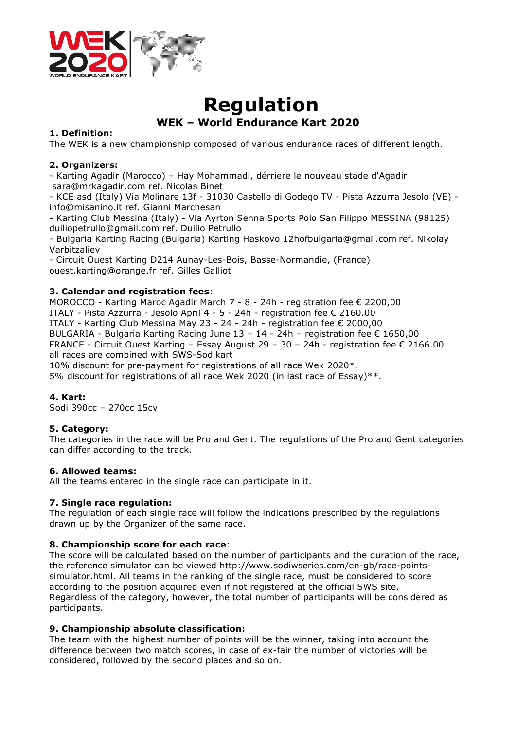

# **Regulation WEK – World Endurance Kart 2020**

#### **1. Definition:**

The WEK is a new championship composed of various endurance races of different length.

## **2. Organizers:**

- Karting Agadir (Marocco) – Hay Mohammadi, dérriere le nouveau stade d'Agadir sara@mrkagadir.com ref. Nicolas Binet

- KCE asd (Italy) Via Molinare 13f - 31030 Castello di Godego TV - Pista Azzurra Jesolo (VE) info@misanino.it ref. Gianni Marchesan

- Karting Club Messina (Italy) - Via Ayrton Senna Sports Polo San Filippo MESSINA (98125) duiliopetrullo@gmail.com ref. Duilio Petrullo

- Bulgaria Karting Racing (Bulgaria) Karting Haskovo 12hofbulgaria@gmail.com ref. Nikolay Varbitzaliev

- Circuit Ouest Karting D214 Aunay-Les-Bois, Basse-Normandie, (France) ouest.karting@orange.fr ref. Gilles Galliot

## **3. Calendar and registration fees**:

MOROCCO - Karting Maroc Agadir March 7 - 8 - 24h - registration fee € 2200,00 ITALY - Pista Azzurra - Jesolo April 4 - 5 - 24h - registration fee € 2160.00 ITALY - Karting Club Messina May 23 - 24 - 24h - registration fee € 2000,00 BULGARIA - Bulgaria Karting Racing June  $13 - 14 - 24h$  - registration fee  $\epsilon$  1650,00 FRANCE - Circuit Ouest Karting – Essay August 29 – 30 – 24h - registration fee € 2166.00 all races are combined with SWS-Sodikart

10% discount for pre-payment for registrations of all race Wek 2020\*.

5% discount for registrations of all race Wek 2020 (in last race of Essay)\*\*.

# **4. Kart:**

Sodi 390cc – 270cc 15cv

#### **5. Category:**

The categories in the race will be Pro and Gent. The regulations of the Pro and Gent categories can differ according to the track.

#### **6. Allowed teams:**

All the teams entered in the single race can participate in it.

#### **7. Single race regulation:**

The regulation of each single race will follow the indications prescribed by the regulations drawn up by the Organizer of the same race.

#### **8. Championship score for each race**:

The score will be calculated based on the number of participants and the duration of the race, the reference simulator can be viewed http://www.sodiwseries.com/en-gb/race-pointssimulator.html. All teams in the ranking of the single race, must be considered to score according to the position acquired even if not registered at the official SWS site. Regardless of the category, however, the total number of participants will be considered as participants.

#### **9. Championship absolute classification:**

The team with the highest number of points will be the winner, taking into account the difference between two match scores, in case of ex-fair the number of victories will be considered, followed by the second places and so on.